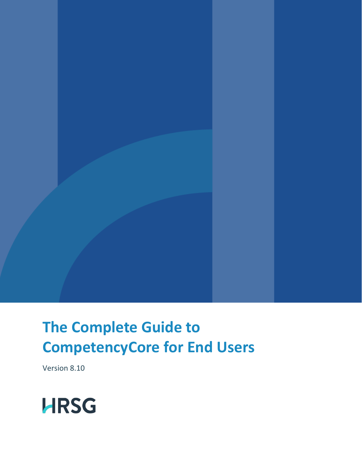# **The Complete Guide to CompetencyCore for End Users**

Version 8.10

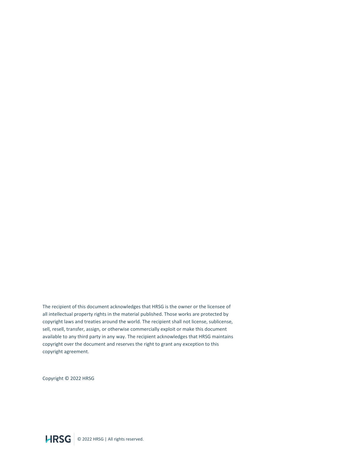The recipient of this document acknowledges that HRSG is the owner or the licensee of all intellectual property rights in the material published. Those works are protected by copyright laws and treaties around the world. The recipient shall not license, sublicense, sell, resell, transfer, assign, or otherwise commercially exploit or make this document available to any third party in any way. The recipient acknowledges that HRSG maintains copyright over the document and reserves the right to grant any exception to this copyright agreement.

Copyright © 2022 HRSG

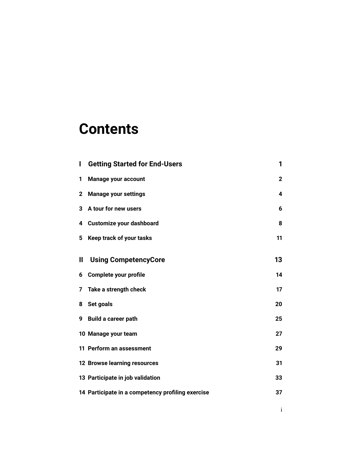## **Contents**

| T            | <b>Getting Started for End-Users</b>              | 1            |
|--------------|---------------------------------------------------|--------------|
| 1            | <b>Manage your account</b>                        | $\mathbf{2}$ |
| $\mathbf{2}$ | <b>Manage your settings</b>                       | 4            |
| 3            | A tour for new users                              | 6            |
| 4            | <b>Customize your dashboard</b>                   | 8            |
| 5            | Keep track of your tasks                          | 11           |
| Ш            | <b>Using CompetencyCore</b>                       | 13           |
|              | 6 Complete your profile                           | 14           |
| 7            | Take a strength check                             | 17           |
|              | 8 Set goals                                       | 20           |
| 9            | <b>Build a career path</b>                        | 25           |
|              | 10 Manage your team                               | 27           |
|              | 11 Perform an assessment                          | 29           |
|              | 12 Browse learning resources                      | 31           |
|              | 13 Participate in job validation                  | 33           |
|              | 14 Participate in a competency profiling exercise | 37           |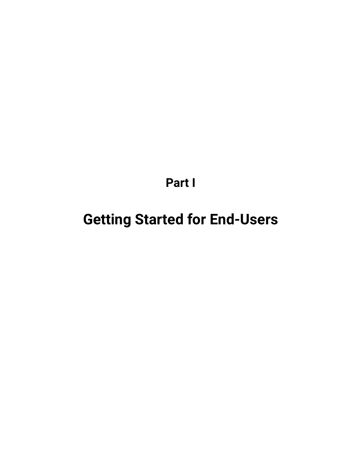**Part I**

# <span id="page-3-0"></span>**Getting Started for End-Users**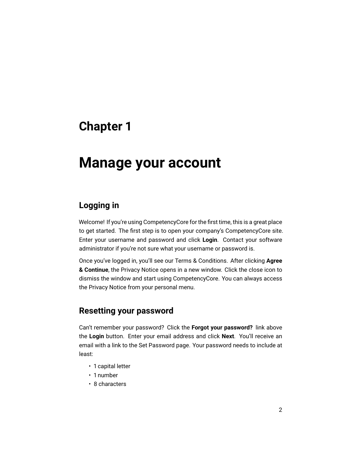## <span id="page-4-0"></span>**Manage your account**

### **Logging in**

Welcome! If you're using CompetencyCore for the first time, this is a great place to get started. The first step is to open your company's CompetencyCore site. Enter your username and password and click **Login**. Contact your software administrator if you're not sure what your username or password is.

Once you've logged in, you'll see our Terms & Conditions. After clicking **Agree & Continue**, the Privacy Notice opens in a new window. Click the close icon to dismiss the window and start using CompetencyCore. You can always access the Privacy Notice from your personal menu.

### **Resetting your password**

Can't remember your password? Click the **Forgot your password?** link above the **Login** button. Enter your email address and click **Next**. You'll receive an email with a link to the Set Password page. Your password needs to include at least:

- 1 capital letter
- 1 number
- 8 characters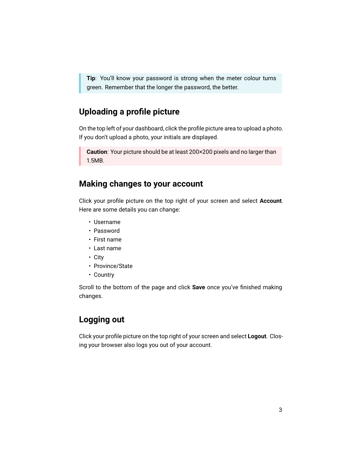**Tip**: You'll know your password is strong when the meter colour turns green. Remember that the longer the password, the better.

### **Uploading a profile picture**

On the top left of your dashboard, click the profile picture area to upload a photo. If you don't upload a photo, your initials are displayed.

**Caution**: Your picture should be at least 200×200 pixels and no larger than 1.5MB.

### **Making changes to your account**

Click your profile picture on the top right of your screen and select **Account**. Here are some details you can change:

- Username
- Password
- First name
- Last name
- City
- Province/State
- Country

Scroll to the bottom of the page and click **Save** once you've finished making changes.

### **Logging out**

Click your profile picture on the top right of your screen and select **Logout**. Closing your browser also logs you out of your account.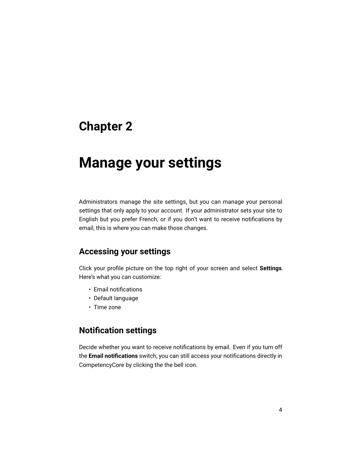## <span id="page-6-0"></span>**Manage your settings**

Administrators manage the site settings, but you can manage your personal settings that only apply to your account. If your administrator sets your site to English but you prefer French, or if you don't want to receive notifications by email, this is where you can make those changes.

### **Accessing your settings**

Click your profile picture on the top right of your screen and select **Settings**. Here's what you can customize:

- Email notifications
- Default language
- Time zone

### **Notification settings**

Decide whether you want to receive notifications by email. Even if you turn off the **Email notifications** switch, you can still access your notifications directly in CompetencyCore by clicking the the bell icon.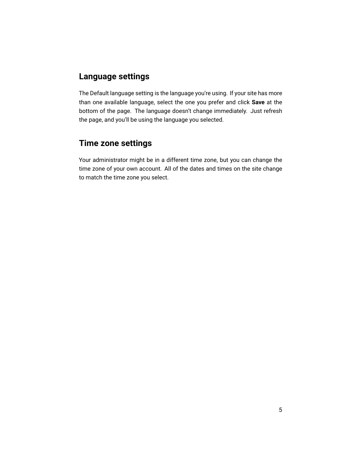### **Language settings**

The Default language setting is the language you're using. If your site has more than one available language, select the one you prefer and click **Save** at the bottom of the page. The language doesn't change immediately. Just refresh the page, and you'll be using the language you selected.

### **Time zone settings**

Your administrator might be in a different time zone, but you can change the time zone of your own account. All of the dates and times on the site change to match the time zone you select.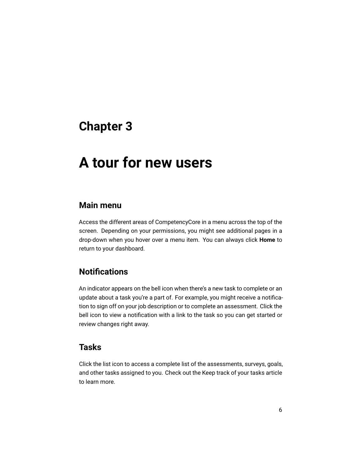# <span id="page-8-0"></span>**A tour for new users**

### **Main menu**

Access the different areas of CompetencyCore in a menu across the top of the screen. Depending on your permissions, you might see additional pages in a drop-down when you hover over a menu item. You can always click **Home** to return to your dashboard.

### **Notifications**

An indicator appears on the bell icon when there's a new task to complete or an update about a task you're a part of. For example, you might receive a notification to sign off on your job description or to complete an assessment. Click the bell icon to view a notification with a link to the task so you can get started or review changes right away.

#### **Tasks**

Click the list icon to access a complete list of the assessments, surveys, goals, and other tasks assigned to you. Check out the [Keep track of your tasks](#page-12-0) article to learn more.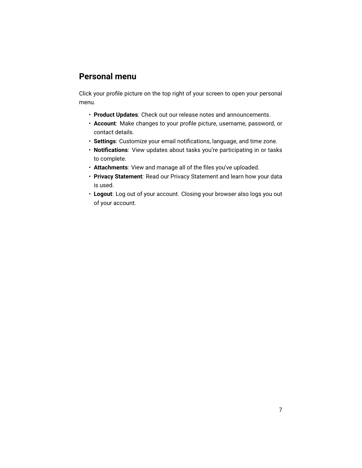### <span id="page-9-0"></span>**Personal menu**

Click your profile picture on the top right of your screen to open your personal menu.

- **Product Updates**: Check out our release notes and announcements.
- **Account**: Make changes to your profile picture, username, password, or contact details.
- **Settings**: Customize your email notifications, language, and time zone.
- **Notifications**: View updates about tasks you're participating in or tasks to complete.
- **Attachments**: View and manage all of the files you've uploaded.
- **Privacy Statement**: Read our Privacy Statement and learn how your data is used.
- **Logout**: Log out of your account. Closing your browser also logs you out of your account.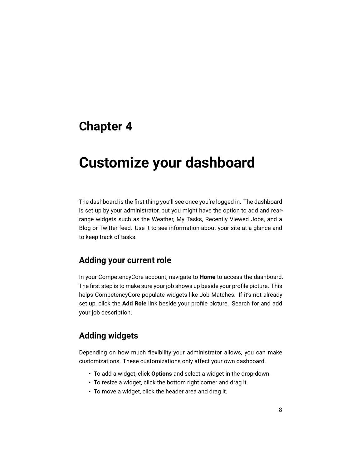## <span id="page-10-0"></span>**Customize your dashboard**

The dashboard is the first thing you'll see once you're logged in. The dashboard is set up by your administrator, but you might have the option to add and rearrange widgets such as the Weather, My Tasks, Recently Viewed Jobs, and a Blog or Twitter feed. Use it to see information about your site at a glance and to keep track of tasks.

### **Adding your current role**

In your CompetencyCore account, navigate to **Home** to access the dashboard. The first step is to make sure your job shows up beside your profile picture. This helps CompetencyCore populate widgets like Job Matches. If it's not already set up, click the **Add Role** link beside your profile picture. Search for and add your job description.

### **Adding widgets**

Depending on how much flexibility your administrator allows, you can make customizations. These customizations only affect your own dashboard.

- To add a widget, click **Options** and select a widget in the drop-down.
- To resize a widget, click the bottom right corner and drag it.
- To move a widget, click the header area and drag it.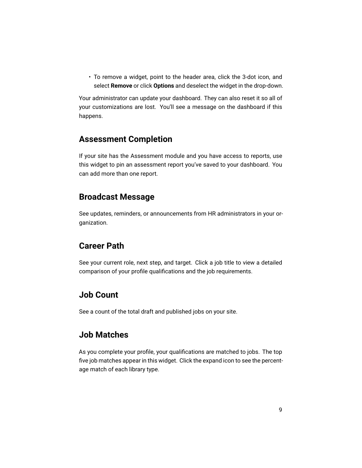• To remove a widget, point to the header area, click the 3-dot icon, and select **Remove** or click **Options** and deselect the widget in the drop-down.

Your administrator can update your dashboard. They can also reset it so all of your customizations are lost. You'll see a message on the dashboard if this happens.

### **Assessment Completion**

If your site has the Assessment module and you have access to reports, use this widget to pin an assessment report you've saved to your dashboard. You can add more than one report.

### **Broadcast Message**

See updates, reminders, or announcements from HR administrators in your organization.

#### **Career Path**

See your current role, next step, and target. Click a job title to view a detailed comparison of your profile qualifications and the job requirements.

### **Job Count**

See a count of the total draft and published jobs on your site.

### **Job Matches**

As you complete your profile, your qualifications are matched to jobs. The top five job matches appear in this widget. Click the expand icon to see the percentage match of each library type.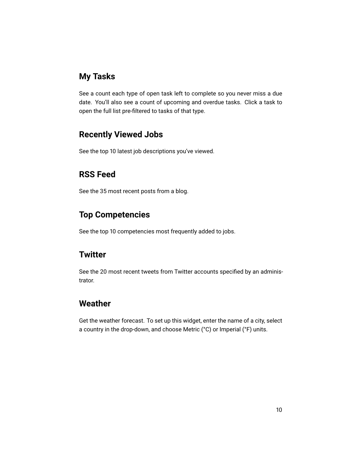### <span id="page-12-0"></span>**My Tasks**

See a count each type of open task left to complete so you never miss a due date. You'll also see a count of upcoming and overdue tasks. Click a task to open the full list pre-filtered to tasks of that type.

### **Recently Viewed Jobs**

See the top 10 latest job descriptions you've viewed.

### **RSS Feed**

See the 35 most recent posts from a blog.

### **Top Competencies**

See the top 10 competencies most frequently added to jobs.

### **Twitter**

See the 20 most recent tweets from Twitter accounts specified by an administrator.

### **Weather**

Get the weather forecast. To set up this widget, enter the name of a city, select a country in the drop-down, and choose Metric (°C) or Imperial (°F) units.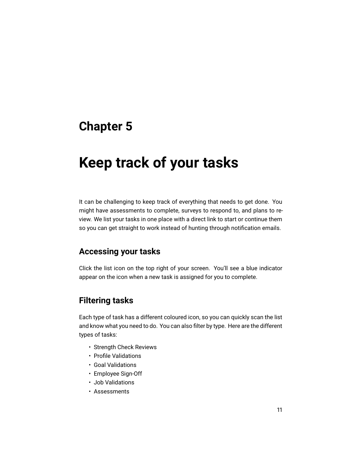## <span id="page-13-0"></span>**Keep track of your tasks**

It can be challenging to keep track of everything that needs to get done. You might have assessments to complete, surveys to respond to, and plans to review. We list your tasks in one place with a direct link to start or continue them so you can get straight to work instead of hunting through notification emails.

### **Accessing your tasks**

Click the list icon on the top right of your screen. You'll see a blue indicator appear on the icon when a new task is assigned for you to complete.

### **Filtering tasks**

Each type of task has a different coloured icon, so you can quickly scan the list and know what you need to do. You can also filter by type. Here are the different types of tasks:

- Strength Check Reviews
- Profile Validations
- Goal Validations
- Employee Sign-Off
- Job Validations
- Assessments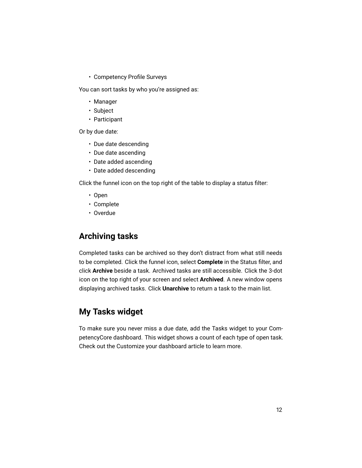• Competency Profile Surveys

You can sort tasks by who you're assigned as:

- Manager
- Subject
- Participant

Or by due date:

- Due date descending
- Due date ascending
- Date added ascending
- Date added descending

Click the funnel icon on the top right of the table to display a status filter:

- Open
- Complete
- Overdue

### **Archiving tasks**

Completed tasks can be archived so they don't distract from what still needs to be completed. Click the funnel icon, select **Complete** in the Status filter, and click **Archive** beside a task. Archived tasks are still accessible. Click the 3-dot icon on the top right of your screen and select **Archived**. A new window opens displaying archived tasks. Click **Unarchive** to return a task to the main list.

### **My Tasks widget**

To make sure you never miss a due date, add the Tasks widget to your CompetencyCore dashboard. This widget shows a count of each type of open task. Check out the [Customize your dashboard](#page-9-0) article to learn more.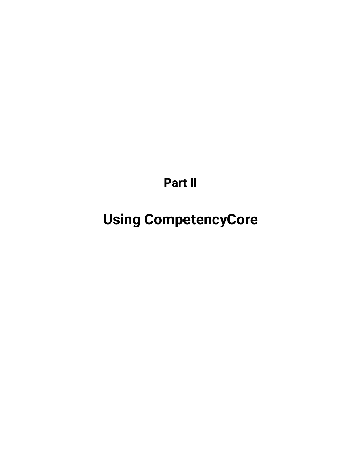**Part II**

<span id="page-15-0"></span>**Using CompetencyCore**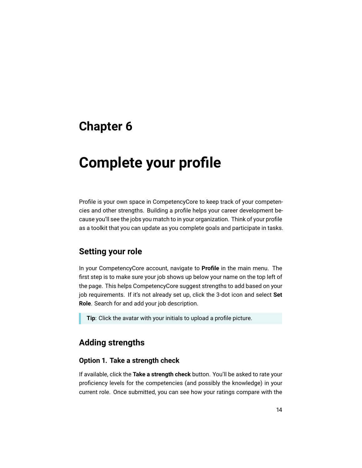## <span id="page-16-0"></span>**Complete your profile**

Profile is your own space in CompetencyCore to keep track of your competencies and other strengths. Building a profile helps your career development because you'll see the jobs you match to in your organization. Think of your profile as a toolkit that you can update as you complete goals and participate in tasks.

### **Setting your role**

In your CompetencyCore account, navigate to **Profile** in the main menu. The first step is to make sure your job shows up below your name on the top left of the page. This helps CompetencyCore suggest strengths to add based on your job requirements. If it's not already set up, click the 3-dot icon and select **Set Role**. Search for and add your job description.

**Tip**: Click the avatar with your initials to upload a profile picture.

### **Adding strengths**

#### **Option 1. Take a strength check**

If available, click the **[Take a strength check](#page-18-0)** button. You'll be asked to rate your proficiency levels for the competencies (and possibly the knowledge) in your current role. Once submitted, you can see how your ratings compare with the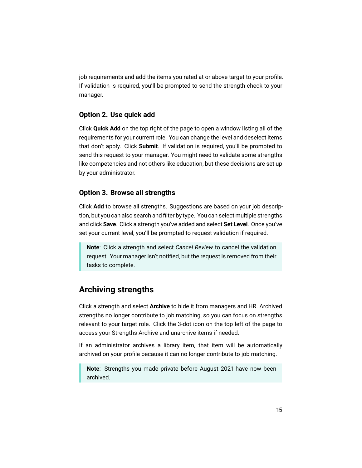job requirements and add the items you rated at or above target to your profile. If validation is required, you'll be prompted to send the strength check to your manager.

#### **Option 2. Use quick add**

Click **Quick Add** on the top right of the page to open a window listing all of the requirements for your current role. You can change the level and deselect items that don't apply. Click **Submit**. If validation is required, you'll be prompted to send this request to your manager. You might need to validate some strengths like competencies and not others like education, but these decisions are set up by your administrator.

#### **Option 3. Browse all strengths**

Click **Add** to browse all strengths. Suggestions are based on your job description, but you can also search and filter by type. You can select multiple strengths and click **Save**. Click a strength you've added and select **Set Level**. Once you've set your current level, you'll be prompted to request validation if required.

**Note**: Click a strength and select *Cancel Review* to cancel the validation request. Your manager isn't notified, but the request is removed from their tasks to complete.

### **Archiving strengths**

Click a strength and select **Archive** to hide it from managers and HR. Archived strengths no longer contribute to job matching, so you can focus on strengths relevant to your target role. Click the 3-dot icon on the top left of the page to access your Strengths Archive and unarchive items if needed.

If an administrator archives a library item, that item will be automatically archived on your profile because it can no longer contribute to job matching.

**Note**: Strengths you made private before August 2021 have now been archived.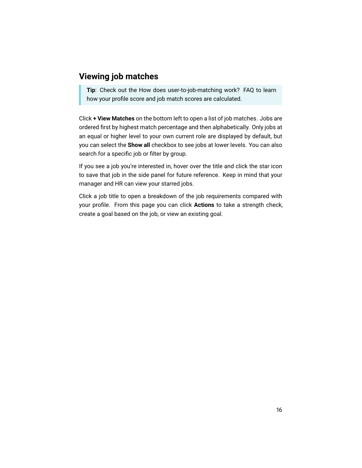### <span id="page-18-0"></span>**Viewing job matches**

**Tip**: Check out the How does user-to-job-matching work? FAQ to learn how your profile score and job match scores are calculated.

Click **+ View Matches** on the bottom left to open a list of job matches. Jobs are ordered first by highest match percentage and then alphabetically. Only jobs at an equal or higher level to your own current role are displayed by default, but you can select the **Show all** checkbox to see jobs at lower levels. You can also search for a specific job or filter by group.

If you see a job you're interested in, hover over the title and click the star icon to save that job in the side panel for future reference. Keep in mind that your manager and HR can view your starred jobs.

Click a job title to open a breakdown of the job requirements compared with your profile. From this page you can click **Actions** to take a strength check, create a goal based on the job, or view an existing goal.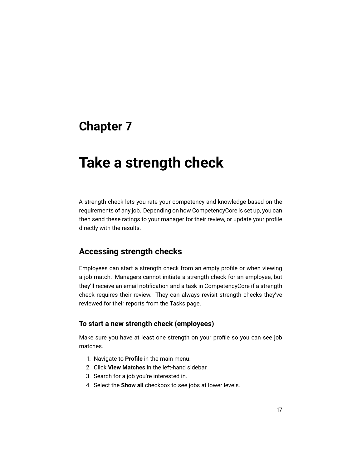## <span id="page-19-0"></span>**Take a strength check**

A strength check lets you rate your competency and knowledge based on the requirements of any job. Depending on how CompetencyCore is set up, you can then send these ratings to your manager for their review, or update your profile directly with the results.

### **Accessing strength checks**

Employees can start a strength check from an empty profile or when viewing a job match. Managers cannot initiate a strength check for an employee, but they'll receive an email notification and a task in CompetencyCore if a strength check requires their review. They can always revisit strength checks they've reviewed for their reports from the [Tasks page.](#page-12-0)

#### **To start a new strength check (employees)**

Make sure you have at least one strength on your profile so you can see job matches.

- 1. Navigate to **Profile** in the main menu.
- 2. Click **View Matches** in the left-hand sidebar.
- 3. Search for a job you're interested in.
- 4. Select the **Show all** checkbox to see jobs at lower levels.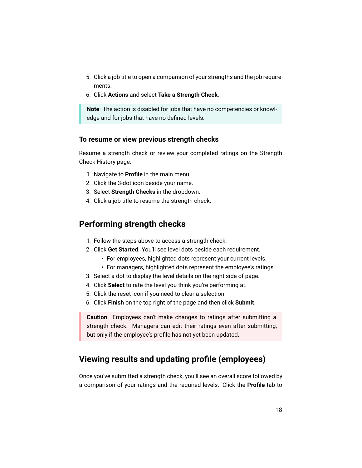- 5. Click a job title to open a comparison of your strengths and the job requirements.
- 6. Click **Actions** and select **Take a Strength Check**.

**Note**: The action is disabled for jobs that have no competencies or knowledge and for jobs that have no defined levels.

#### **To resume or view previous strength checks**

Resume a strength check or review your completed ratings on the Strength Check History page.

- 1. Navigate to **Profile** in the main menu.
- 2. Click the 3-dot icon beside your name.
- 3. Select **Strength Checks** in the dropdown.
- 4. Click a job title to resume the strength check.

### **Performing strength checks**

- 1. Follow the steps above to access a strength check.
- 2. Click **Get Started**. You'll see level dots beside each requirement.
	- For employees, highlighted dots represent your current levels.
	- For managers, highlighted dots represent the employee's ratings.
- 3. Select a dot to display the level details on the right side of page.
- 4. Click **Select** to rate the level you think you're performing at.
- 5. Click the reset icon if you need to clear a selection.
- 6. Click **Finish** on the top right of the page and then click **Submit**.

**Caution**: Employees can't make changes to ratings after submitting a strength check. Managers can edit their ratings even after submitting, but only if the employee's profile has not yet been updated.

### **Viewing results and updating profile (employees)**

Once you've submitted a strength check, you'll see an overall score followed by a comparison of your ratings and the required levels. Click the **Profile** tab to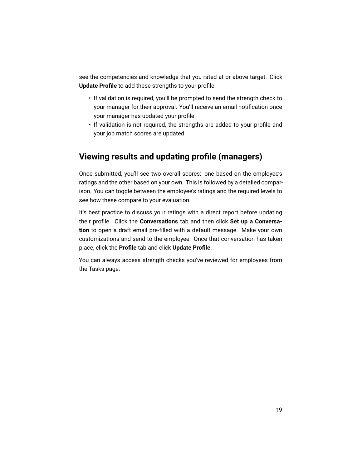<span id="page-21-0"></span>see the competencies and knowledge that you rated at or above target. Click **Update Profile** to add these strengths to your profile.

- If validation is required, you'll be prompted to send the strength check to your manager for their approval. You'll receive an email notification once your manager has updated your profile.
- If validation is not required, the strengths are added to your profile and your job match scores are updated.

### **Viewing results and updating profile (managers)**

Once submitted, you'll see two overall scores: one based on the employee's ratings and the other based on your own. This is followed by a detailed comparison. You can toggle between the employee's ratings and the required levels to see how these compare to your evaluation.

It's best practice to discuss your ratings with a direct report before updating their profile. Click the **Conversations** tab and then click **Set up a Conversation** to open a draft email pre-filled with a default message. Make your own customizations and send to the employee. Once that conversation has taken place, click the **Profile** tab and click **Update Profile**.

You can always access strength checks you've reviewed for employees from the Tasks page.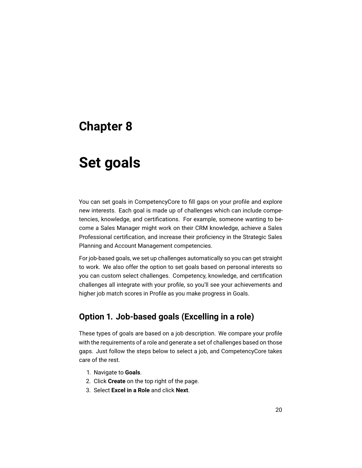## <span id="page-22-0"></span>**Set goals**

You can set goals in CompetencyCore to fill gaps on your profile and explore new interests. Each goal is made up of challenges which can include competencies, knowledge, and certifications. For example, someone wanting to become a Sales Manager might work on their CRM knowledge, achieve a Sales Professional certification, and increase their proficiency in the Strategic Sales Planning and Account Management competencies.

For job-based goals, we set up challenges automatically so you can get straight to work. We also offer the option to set goals based on personal interests so you can custom select challenges. Competency, knowledge, and certification challenges all integrate with your profile, so you'll see your achievements and higher job match scores in Profile as you make progress in Goals.

### **Option 1. Job-based goals (Excelling in a role)**

These types of goals are based on a job description. We compare your profile with the requirements of a role and generate a set of challenges based on those gaps. Just follow the steps below to select a job, and CompetencyCore takes care of the rest.

- 1. Navigate to **Goals**.
- 2. Click **Create** on the top right of the page.
- 3. Select **Excel in a Role** and click **Next**.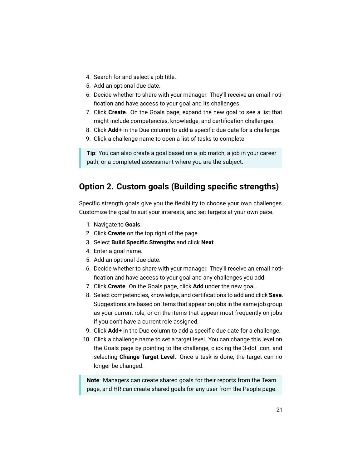- 4. Search for and select a job title.
- 5. Add an optional due date.
- 6. Decide whether to share with your manager. They'll receive an email notification and have access to your goal and its challenges.
- 7. Click **Create**. On the Goals page, expand the new goal to see a list that might include competencies, knowledge, and certification challenges.
- 8. Click **Add+** in the Due column to add a specific due date for a challenge.
- 9. Click a challenge name to open a list of tasks to complete.

**Tip**: You can also create a goal based on a job match, a job in your career path, or a completed assessment where you are the subject.

### **Option 2. Custom goals (Building specific strengths)**

Specific strength goals give you the flexibility to choose your own challenges. Customize the goal to suit your interests, and set targets at your own pace.

- 1. Navigate to **Goals**.
- 2. Click **Create** on the top right of the page.
- 3. Select **Build Specific Strengths** and click **Next**.
- 4. Enter a goal name.
- 5. Add an optional due date.
- 6. Decide whether to share with your manager. They'll receive an email notification and have access to your goal and any challenges you add.
- 7. Click **Create**. On the Goals page, click **Add** under the new goal.
- 8. Select competencies, knowledge, and certifications to add and click **Save**. Suggestions are based on items that appear on jobs in the same job group as your current role, or on the items that appear most frequently on jobs if you don't have a current role assigned.
- 9. Click **Add+** in the Due column to add a specific due date for a challenge.
- 10. Click a challenge name to set a target level. You can change this level on the Goals page by pointing to the challenge, clicking the 3-dot icon, and selecting **Change Target Level**. Once a task is done, the target can no longer be changed.

**Note**: Managers can create shared goals for their reports from the [Team](#page-28-0) page, and HR can create shared goals for any user from the People page.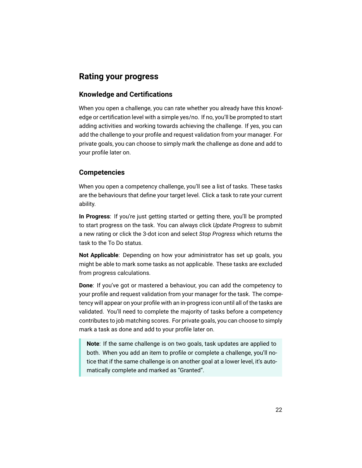### **Rating your progress**

#### **Knowledge and Certifications**

When you open a challenge, you can rate whether you already have this knowledge or certification level with a simple yes/no. If no, you'll be prompted to start adding activities and working towards achieving the challenge. If yes, you can add the challenge to your profile and request validation from your manager. For private goals, you can choose to simply mark the challenge as done and add to your profile later on.

#### **Competencies**

When you open a competency challenge, you'll see a list of tasks. These tasks are the behaviours that define your target level. Click a task to rate your current ability.

**In Progress**: If you're just getting started or getting there, you'll be prompted to start progress on the task. You can always click *Update Progress* to submit a new rating or click the 3-dot icon and select *Stop Progress* which returns the task to the To Do status.

**Not Applicable**: Depending on how your administrator has set up goals, you might be able to mark some tasks as not applicable. These tasks are excluded from progress calculations.

**Done**: If you've got or mastered a behaviour, you can add the competency to your profile and request validation from your manager for the task. The competency will appear on your profile with an in-progress icon until all of the tasks are validated. You'll need to complete the majority of tasks before a competency contributes to job matching scores. For private goals, you can choose to simply mark a task as done and add to your profile later on.

**Note**: If the same challenge is on two goals, task updates are applied to both. When you add an item to profile or complete a challenge, you'll notice that if the same challenge is on another goal at a lower level, it's automatically complete and marked as "Granted".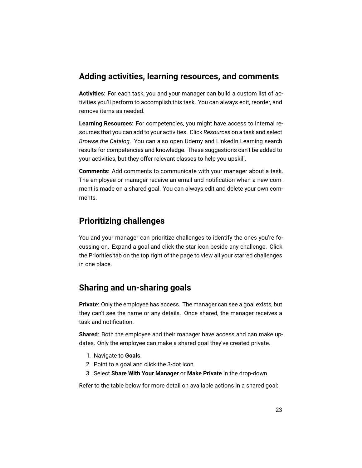### **Adding activities, learning resources, and comments**

**Activities**: For each task, you and your manager can build a custom list of activities you'll perform to accomplish this task. You can always edit, reorder, and remove items as needed.

**Learning Resources**: For competencies, you might have access to internal resources that you can add to your activities. Click *Resources* on a task and select *Browse the Catalog*. You can also open Udemy and LinkedIn Learning search results for competencies and knowledge. These suggestions can't be added to your activities, but they offer relevant classes to help you upskill.

**Comments**: Add comments to communicate with your manager about a task. The employee or manager receive an email and notification when a new comment is made on a shared goal. You can always edit and delete your own comments.

### **Prioritizing challenges**

You and your manager can prioritize challenges to identify the ones you're focussing on. Expand a goal and click the star icon beside any challenge. Click the Priorities tab on the top right of the page to view all your starred challenges in one place.

### **Sharing and un-sharing goals**

**Private**: Only the employee has access. The manager can see a goal exists, but they can't see the name or any details. Once shared, the manager receives a task and notification.

**Shared**: Both the employee and their manager have access and can make updates. Only the employee can make a shared goal they've created private.

- 1. Navigate to **Goals**.
- 2. Point to a goal and click the 3-dot icon.
- 3. Select **Share With Your Manager** or **Make Private** in the drop-down.

Refer to the table below for more detail on available actions in a shared goal: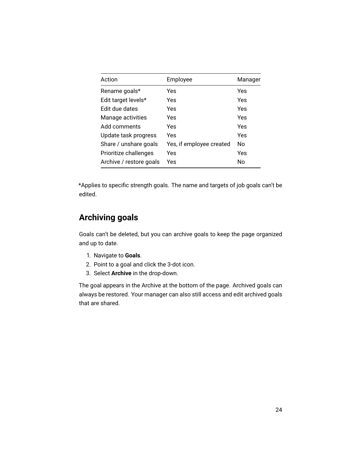| Action                  | Employee                 | Manager |
|-------------------------|--------------------------|---------|
| Rename goals*           | Yes                      | Yes     |
| Edit target levels*     | <b>Yes</b>               | Yes     |
| Edit due dates          | Yes                      | Yes     |
| Manage activities       | Yes                      | Yes     |
| Add comments            | Yes                      | Yes     |
| Update task progress    | Yes                      | Yes     |
| Share / unshare goals   | Yes, if employee created | Nο      |
| Prioritize challenges   | Yes                      | Yes     |
| Archive / restore goals | Yes                      | No      |

\*Applies to specific strength goals. The name and targets of job goals can't be edited.

### **Archiving goals**

Goals can't be deleted, but you can archive goals to keep the page organized and up to date.

- 1. Navigate to **Goals**.
- 2. Point to a goal and click the 3-dot icon.
- 3. Select **Archive** in the drop-down.

The goal appears in the Archive at the bottom of the page. Archived goals can always be restored. Your manager can also still access and edit archived goals that are shared.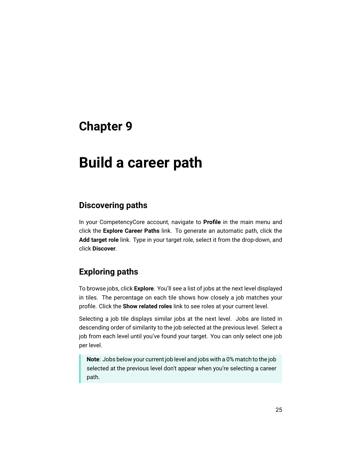## <span id="page-27-0"></span>**Build a career path**

### **Discovering paths**

In your CompetencyCore account, navigate to **Profile** in the main menu and click the **Explore Career Paths** link. To generate an automatic path, click the **Add target role** link. Type in your target role, select it from the drop-down, and click **Discover**.

### **Exploring paths**

To browse jobs, click **Explore**. You'll see a list of jobs at the next level displayed in tiles. The percentage on each tile shows how closely a job matches your profile. Click the **Show related roles** link to see roles at your current level.

Selecting a job tile displays similar jobs at the next level. Jobs are listed in descending order of similarity to the job selected at the previous level. Select a job from each level until you've found your target. You can only select one job per level.

**Note**: Jobs below your current job level and jobs with a 0% match to the job selected at the previous level don't appear when you're selecting a career path.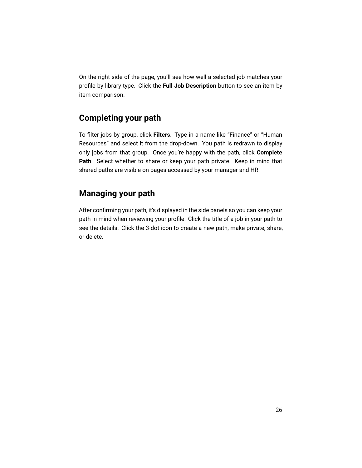<span id="page-28-0"></span>On the right side of the page, you'll see how well a selected job matches your profile by library type. Click the **Full Job Description** button to see an item by item comparison.

### **Completing your path**

To filter jobs by group, click **Filters**. Type in a name like "Finance" or "Human Resources" and select it from the drop-down. You path is redrawn to display only jobs from that group. Once you're happy with the path, click **Complete Path**. Select whether to share or keep your path private. Keep in mind that shared paths are visible on pages accessed by your manager and HR.

### **Managing your path**

After confirming your path, it's displayed in the side panels so you can keep your path in mind when reviewing your profile. Click the title of a job in your path to see the details. Click the 3-dot icon to create a new path, make private, share, or delete.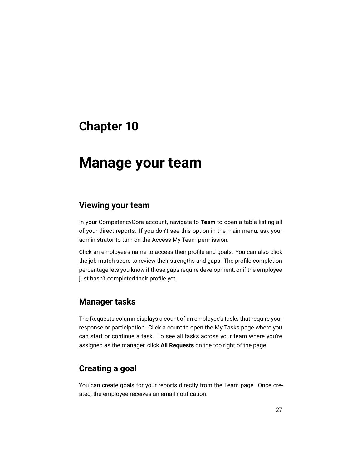## <span id="page-29-0"></span>**Manage your team**

### **Viewing your team**

In your CompetencyCore account, navigate to **Team** to open a table listing all of your direct reports. If you don't see this option in the main menu, ask your administrator to turn on the Access My Team permission.

Click an employee's name to access their profile and goals. You can also click the job match score to review their strengths and gaps. The profile completion percentage lets you know if those gaps require development, or if the employee just hasn't completed their profile yet.

#### **Manager tasks**

The Requests column displays a count of an employee's tasks that require your response or participation. Click a count to open the My Tasks page where you can start or continue a task. To see all tasks across your team where you're assigned as the manager, click **All Requests** on the top right of the page.

### **Creating a goal**

You can create goals for your reports directly from the Team page. Once created, the employee receives an email notification.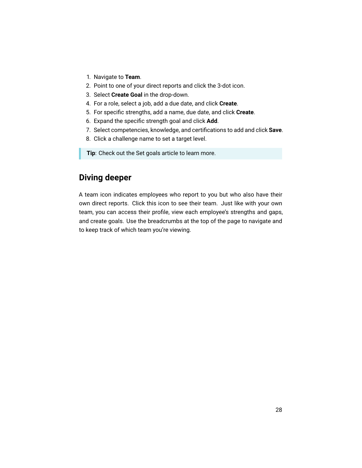- 1. Navigate to **Team**.
- 2. Point to one of your direct reports and click the 3-dot icon.
- 3. Select **Create Goal** in the drop-down.
- 4. For a role, select a job, add a due date, and click **Create**.
- 5. For specific strengths, add a name, due date, and click **Create**.
- 6. Expand the specific strength goal and click **Add**.
- 7. Select competencies, knowledge, and certifications to add and click **Save**.
- 8. Click a challenge name to set a target level.

**Tip**: Check out the [Set goals](#page-21-0) article to learn more.

### **Diving deeper**

A team icon indicates employees who report to you but who also have their own direct reports. Click this icon to see their team. Just like with your own team, you can access their profile, view each employee's strengths and gaps, and create goals. Use the breadcrumbs at the top of the page to navigate and to keep track of which team you're viewing.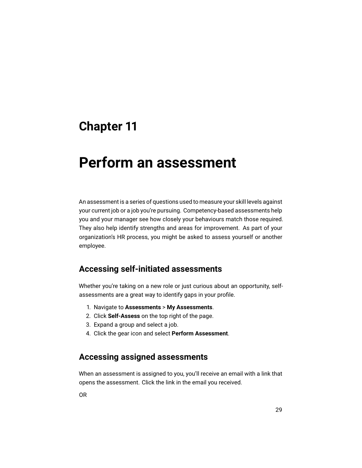# <span id="page-31-0"></span>**Perform an assessment**

An assessment is a series of questions used to measure your skill levels against your current job or a job you're pursuing. Competency-based assessments help you and your manager see how closely your behaviours match those required. They also help identify strengths and areas for improvement. As part of your organization's HR process, you might be asked to assess yourself or another employee.

### **Accessing self-initiated assessments**

Whether you're taking on a new role or just curious about an opportunity, selfassessments are a great way to identify gaps in your profile.

- 1. Navigate to **Assessments** > **My Assessments**.
- 2. Click **Self-Assess** on the top right of the page.
- 3. Expand a group and select a job.
- 4. Click the gear icon and select **Perform Assessment**.

### **Accessing assigned assessments**

When an assessment is assigned to you, you'll receive an email with a link that opens the assessment. Click the link in the email you received.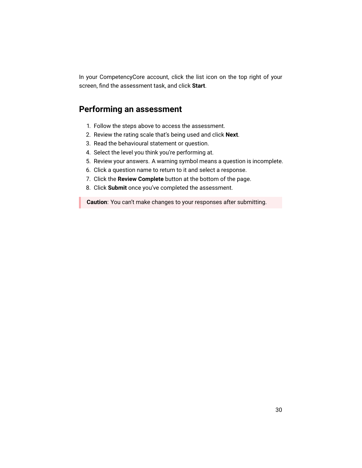In your CompetencyCore account, click the list icon on the top right of your screen, find the assessment task, and click **Start**.

### **Performing an assessment**

- 1. Follow the steps above to access the assessment.
- 2. Review the rating scale that's being used and click **Next**.
- 3. Read the behavioural statement or question.
- 4. Select the level you think you're performing at.
- 5. Review your answers. A warning symbol means a question is incomplete.
- 6. Click a question name to return to it and select a response.
- 7. Click the **Review Complete** button at the bottom of the page.
- 8. Click **Submit** once you've completed the assessment.

**Caution**: You can't make changes to your responses after submitting.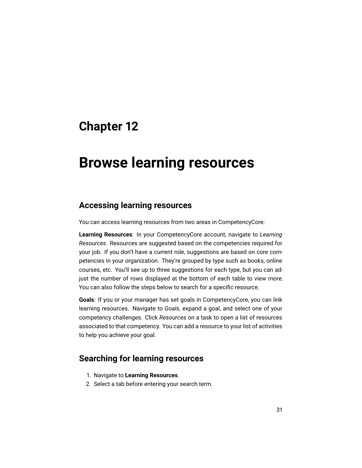## <span id="page-33-0"></span>**Browse learning resources**

#### **Accessing learning resources**

You can access learning resources from two areas in CompetencyCore:

**Learning Resources**: In your CompetencyCore account, navigate to *Learning Resources*. Resources are suggested based on the competencies required for your job. If you don't have a current role, suggestions are based on core competencies in your organization. They're grouped by type such as books, online courses, etc. You'll see up to three suggestions for each type, but you can adjust the number of rows displayed at the bottom of each table to view more. You can also follow the steps below to search for a specific resource.

**Goals**: If you or your manager has set goals in CompetencyCore, you can link learning resources. Navigate to *Goals*, expand a goal, and select one of your competency challenges. Click *Resources* on a task to open a list of resources associated to that competency. You can add a resource to your list of activities to help you achieve your goal.

### **Searching for learning resources**

- 1. Navigate to **Learning Resources**.
- 2. Select a tab before entering your search term.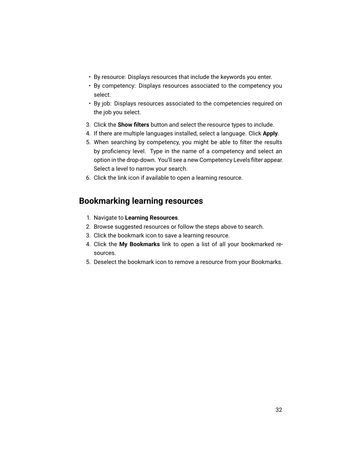- By resource: Displays resources that include the keywords you enter.
- By competency: Displays resources associated to the competency you select.
- By job: Displays resources associated to the competencies required on the job you select.
- 3. Click the **Show filters** button and select the resource types to include.
- 4. If there are multiple languages installed, select a language. Click **Apply**.
- 5. When searching by competency, you might be able to filter the results by proficiency level. Type in the name of a competency and select an option in the drop-down. You'll see a new Competency Levels filter appear. Select a level to narrow your search.
- 6. Click the link icon if available to open a learning resource.

### **Bookmarking learning resources**

- 1. Navigate to **Learning Resources**.
- 2. Browse suggested resources or follow the steps above to search.
- 3. Click the bookmark icon to save a learning resource.
- 4. Click the **My Bookmarks** link to open a list of all your bookmarked resources.
- 5. Deselect the bookmark icon to remove a resource from your Bookmarks.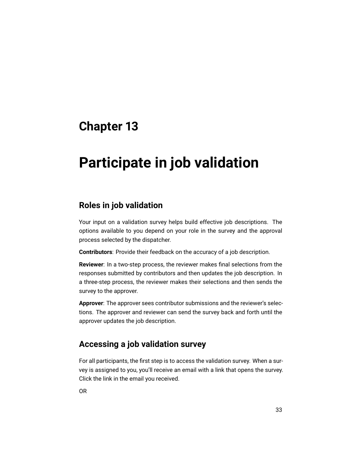# <span id="page-35-0"></span>**Participate in job validation**

### **Roles in job validation**

Your input on a validation survey helps build effective job descriptions. The options available to you depend on your role in the survey and the approval process selected by the dispatcher.

**Contributors**: Provide their feedback on the accuracy of a job description.

**Reviewer**: In a two-step process, the reviewer makes final selections from the responses submitted by contributors and then updates the job description. In a three-step process, the reviewer makes their selections and then sends the survey to the approver.

**Approver**: The approver sees contributor submissions and the reviewer's selections. The approver and reviewer can send the survey back and forth until the approver updates the job description.

### **Accessing a job validation survey**

For all participants, the first step is to access the validation survey. When a survey is assigned to you, you'll receive an email with a link that opens the survey. Click the link in the email you received.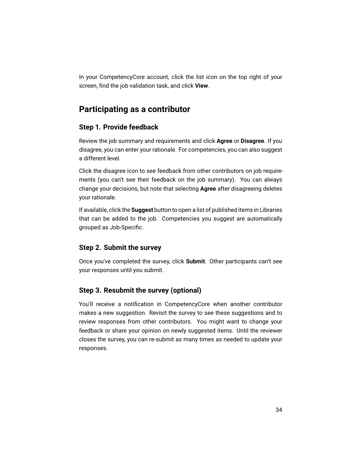In your CompetencyCore account, click the list icon on the top right of your screen, find the job validation task, and click **View**.

### **Participating as a contributor**

#### **Step 1. Provide feedback**

Review the job summary and requirements and click **Agree** or **Disagree**. If you disagree, you can enter your rationale. For competencies, you can also suggest a different level.

Click the disagree icon to see feedback from other contributors on job requirements (you can't see their feedback on the job summary). You can always change your decisions, but note that selecting **Agree** after disagreeing deletes your rationale.

If available, click the **Suggest** button to open a list of published items in Libraries that can be added to the job. Competencies you suggest are automatically grouped as Job-Specific.

#### **Step 2. Submit the survey**

Once you've completed the survey, click **Submit**. Other participants can't see your responses until you submit.

#### **Step 3. Resubmit the survey (optional)**

You'll receive a notification in CompetencyCore when another contributor makes a new suggestion. Revisit the survey to see these suggestions and to review responses from other contributors. You might want to change your feedback or share your opinion on newly suggested items. Until the reviewer closes the survey, you can re-submit as many times as needed to update your responses.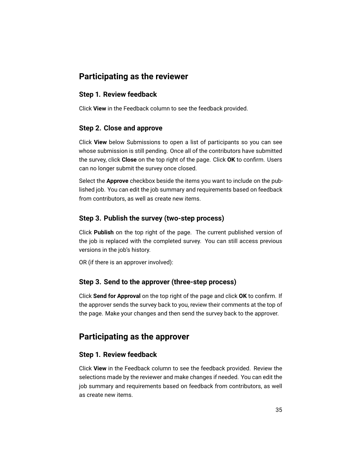### **Participating as the reviewer**

#### **Step 1. Review feedback**

Click **View** in the Feedback column to see the feedback provided.

#### **Step 2. Close and approve**

Click **View** below Submissions to open a list of participants so you can see whose submission is still pending. Once all of the contributors have submitted the survey, click **Close** on the top right of the page. Click **OK** to confirm. Users can no longer submit the survey once closed.

Select the **Approve** checkbox beside the items you want to include on the published job. You can edit the job summary and requirements based on feedback from contributors, as well as create new items.

#### **Step 3. Publish the survey (two-step process)**

Click **Publish** on the top right of the page. The current published version of the job is replaced with the completed survey. You can still access previous versions in the job's history.

OR (if there is an approver involved):

#### **Step 3. Send to the approver (three-step process)**

Click **Send for Approval** on the top right of the page and click **OK** to confirm. If the approver sends the survey back to you, review their comments at the top of the page. Make your changes and then send the survey back to the approver.

#### **Participating as the approver**

#### **Step 1. Review feedback**

Click **View** in the Feedback column to see the feedback provided. Review the selections made by the reviewer and make changes if needed. You can edit the job summary and requirements based on feedback from contributors, as well as create new items.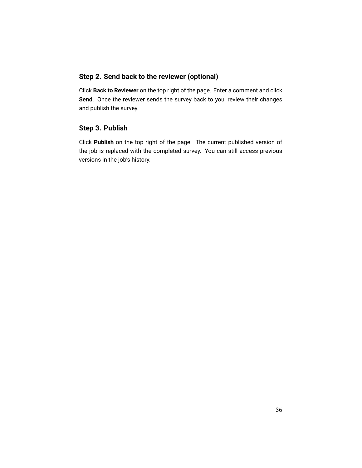### **Step 2. Send back to the reviewer (optional)**

Click **Back to Reviewer** on the top right of the page. Enter a comment and click **Send**. Once the reviewer sends the survey back to you, review their changes and publish the survey.

#### **Step 3. Publish**

Click **Publish** on the top right of the page. The current published version of the job is replaced with the completed survey. You can still access previous versions in the job's history.